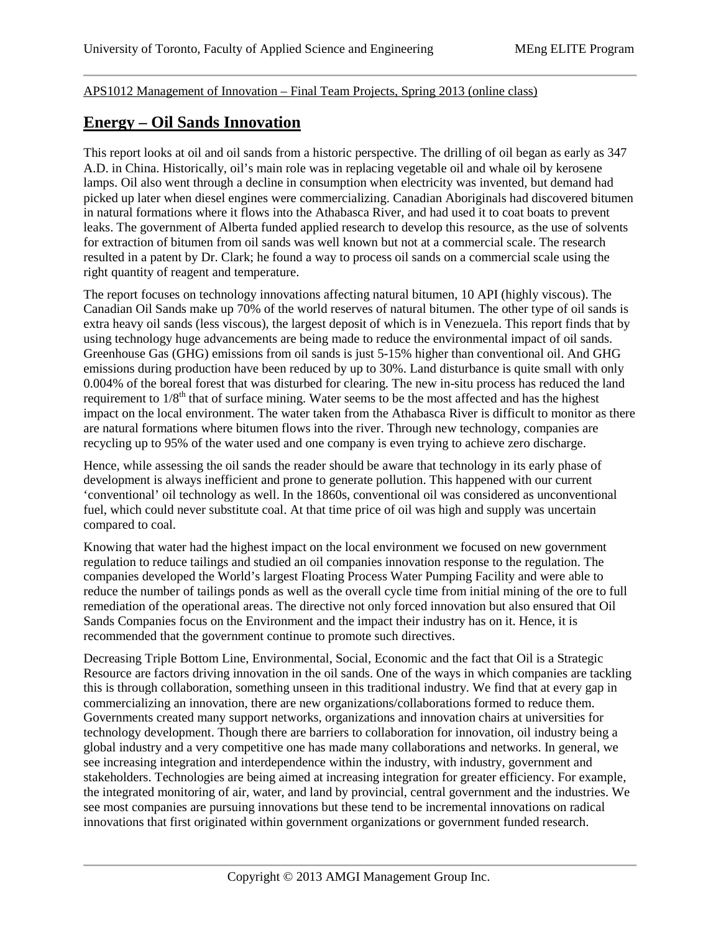## APS1012 Management of Innovation – Final Team Projects, Spring 2013 (online class)

## **Energy – Oil Sands Innovation**

This report looks at oil and oil sands from a historic perspective. The drilling of oil began as early as 347 A.D. in China. Historically, oil's main role was in replacing vegetable oil and whale oil by kerosene lamps. Oil also went through a decline in consumption when electricity was invented, but demand had picked up later when diesel engines were commercializing. Canadian Aboriginals had discovered bitumen in natural formations where it flows into the Athabasca River, and had used it to coat boats to prevent leaks. The government of Alberta funded applied research to develop this resource, as the use of solvents for extraction of bitumen from oil sands was well known but not at a commercial scale. The research resulted in a patent by Dr. Clark; he found a way to process oil sands on a commercial scale using the right quantity of reagent and temperature.

The report focuses on technology innovations affecting natural bitumen, 10 API (highly viscous). The Canadian Oil Sands make up 70% of the world reserves of natural bitumen. The other type of oil sands is extra heavy oil sands (less viscous), the largest deposit of which is in Venezuela. This report finds that by using technology huge advancements are being made to reduce the environmental impact of oil sands. Greenhouse Gas (GHG) emissions from oil sands is just 5-15% higher than conventional oil. And GHG emissions during production have been reduced by up to 30%. Land disturbance is quite small with only 0.004% of the boreal forest that was disturbed for clearing. The new in-situ process has reduced the land requirement to 1/8<sup>th</sup> that of surface mining. Water seems to be the most affected and has the highest impact on the local environment. The water taken from the Athabasca River is difficult to monitor as there are natural formations where bitumen flows into the river. Through new technology, companies are recycling up to 95% of the water used and one company is even trying to achieve zero discharge.

Hence, while assessing the oil sands the reader should be aware that technology in its early phase of development is always inefficient and prone to generate pollution. This happened with our current 'conventional' oil technology as well. In the 1860s, conventional oil was considered as unconventional fuel, which could never substitute coal. At that time price of oil was high and supply was uncertain compared to coal.

Knowing that water had the highest impact on the local environment we focused on new government regulation to reduce tailings and studied an oil companies innovation response to the regulation. The companies developed the World's largest Floating Process Water Pumping Facility and were able to reduce the number of tailings ponds as well as the overall cycle time from initial mining of the ore to full remediation of the operational areas. The directive not only forced innovation but also ensured that Oil Sands Companies focus on the Environment and the impact their industry has on it. Hence, it is recommended that the government continue to promote such directives.

Decreasing Triple Bottom Line, Environmental, Social, Economic and the fact that Oil is a Strategic Resource are factors driving innovation in the oil sands. One of the ways in which companies are tackling this is through collaboration, something unseen in this traditional industry. We find that at every gap in commercializing an innovation, there are new organizations/collaborations formed to reduce them. Governments created many support networks, organizations and innovation chairs at universities for technology development. Though there are barriers to collaboration for innovation, oil industry being a global industry and a very competitive one has made many collaborations and networks. In general, we see increasing integration and interdependence within the industry, with industry, government and stakeholders. Technologies are being aimed at increasing integration for greater efficiency. For example, the integrated monitoring of air, water, and land by provincial, central government and the industries. We see most companies are pursuing innovations but these tend to be incremental innovations on radical innovations that first originated within government organizations or government funded research.